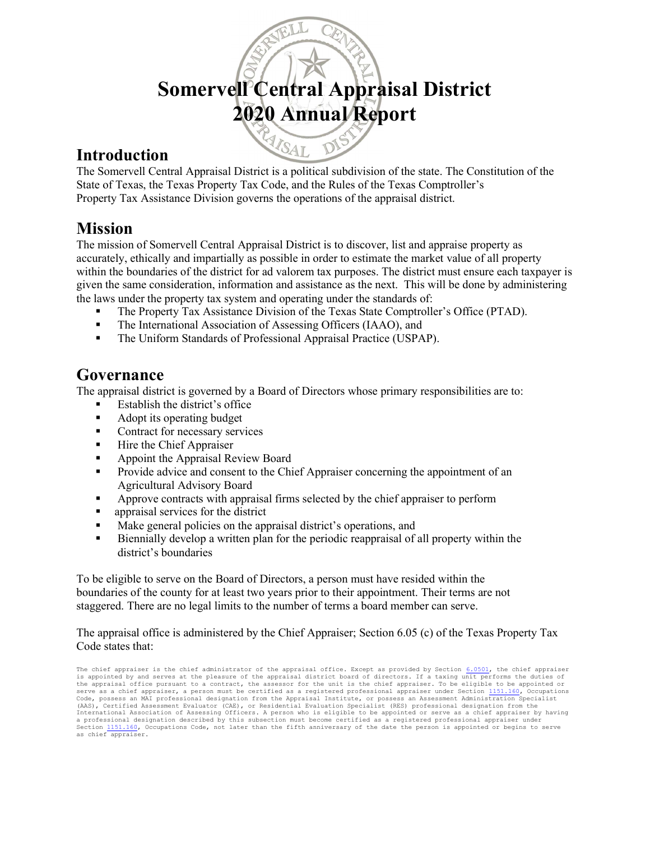# Somervell Central Appraisal District 2020 Annual Report

#### Introduction

The Somervell Central Appraisal District is a political subdivision of the state. The Constitution of the State of Texas, the Texas Property Tax Code, and the Rules of the Texas Comptroller's Property Tax Assistance Division governs the operations of the appraisal district.

MISAL

#### Mission

The mission of Somervell Central Appraisal District is to discover, list and appraise property as accurately, ethically and impartially as possible in order to estimate the market value of all property within the boundaries of the district for ad valorem tax purposes. The district must ensure each taxpayer is given the same consideration, information and assistance as the next. This will be done by administering the laws under the property tax system and operating under the standards of:

- The Property Tax Assistance Division of the Texas State Comptroller's Office (PTAD).
- The International Association of Assessing Officers (IAAO), and
- The Uniform Standards of Professional Appraisal Practice (USPAP).

### Governance

The appraisal district is governed by a Board of Directors whose primary responsibilities are to:

- Establish the district's office
- Adopt its operating budget
- Contract for necessary services
- $\blacksquare$  Hire the Chief Appraiser
- **Appoint the Appraisal Review Board**
- **Provide advice and consent to the Chief Appraiser concerning the appointment of an** Agricultural Advisory Board
- Approve contracts with appraisal firms selected by the chief appraiser to perform
- **appraisal services for the district**
- Make general policies on the appraisal district's operations, and
- Biennially develop a written plan for the periodic reappraisal of all property within the district's boundaries

To be eligible to serve on the Board of Directors, a person must have resided within the boundaries of the county for at least two years prior to their appointment. Their terms are not staggered. There are no legal limits to the number of terms a board member can serve.

The appraisal office is administered by the Chief Appraiser; Section 6.05 (c) of the Texas Property Tax Code states that:

The chief appraiser is the chief administrator of the appraisal office. Except as provided by Section  $6.0501$ , the chief appraiser is appointed by and serves at the pleasure of the appraisal district board of directors. If a taxing unit performs the duties of the appraisal office pursuant to a contract, the assessor for the unit is the chief appraiser. To be eligible to be appointed or serve as a chief appraiser, a person must be certified as a registered professional appraiser under Section 1151.160, Occupations Code, possess an MAI professional designation from the Appraisal Institute, or possess an Assessment Administration Specialist<br>(AAS), Certified Assessment Evaluator (CAE), or Residential Evaluation Specialist (RES) profess International Association of Assessing Officers. A person who is eligible to be appointed or serve as a chief appraiser by having<br>a professional designation described by this subsection must become certified as a registere Section 1151.160, Occupations Code, not later than the fifth anniversary of the date the person is appointed or begins to serve as chief appraiser.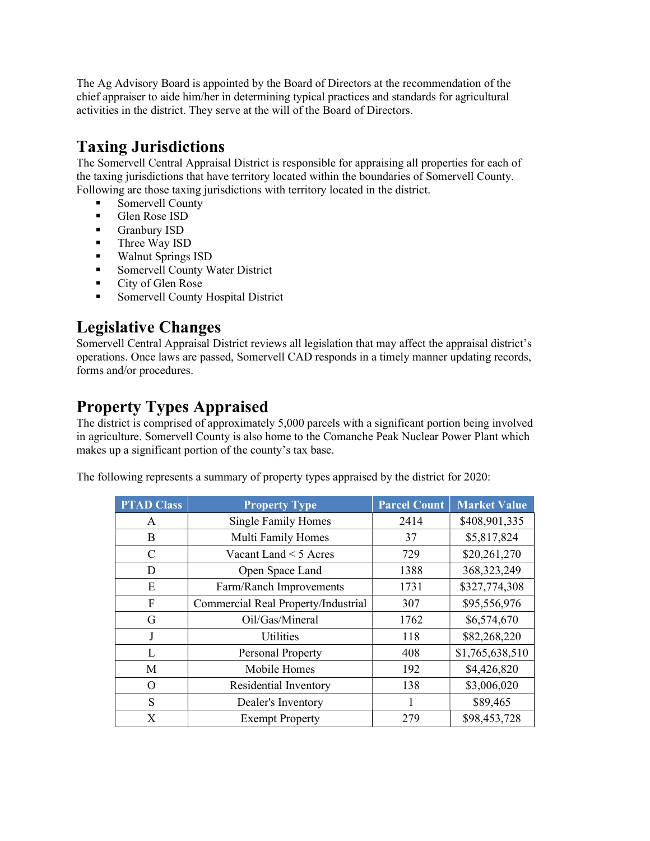The Ag Advisory Board is appointed by the Board of Directors at the recommendation of the chief appraiser to aide him/her in determining typical practices and standards for agricultural activities in the district. They serve at the will of the Board of Directors.

# Taxing Jurisdictions

The Somervell Central Appraisal District is responsible for appraising all properties for each of the taxing jurisdictions that have territory located within the boundaries of Somervell County. Following are those taxing jurisdictions with territory located in the district.

- Somervell County
- Glen Rose ISD
- Granbury ISD
- **Three Way ISD**
- **Walnut Springs ISD**
- **Somervell County Water District**
- City of Glen Rose
- **Somervell County Hospital District**

# Legislative Changes

Somervell Central Appraisal District reviews all legislation that may affect the appraisal district's operations. Once laws are passed, Somervell CAD responds in a timely manner updating records, forms and/or procedures.

# Property Types Appraised

The district is comprised of approximately 5,000 parcels with a significant portion being involved in agriculture. Somervell County is also home to the Comanche Peak Nuclear Power Plant which makes up a significant portion of the county's tax base.

The following represents a summary of property types appraised by the district for 2020:

| <b>PTAD Class</b> | <b>Property Type</b>                | <b>Parcel Count</b> | <b>Market Value</b> |
|-------------------|-------------------------------------|---------------------|---------------------|
| A                 | <b>Single Family Homes</b>          | 2414                | \$408,901,335       |
| B                 | Multi Family Homes                  | 37                  | \$5,817,824         |
| C                 | Vacant Land < 5 Acres               | 729                 | \$20,261,270        |
| D                 | Open Space Land                     | 1388                | 368, 323, 249       |
| E                 | Farm/Ranch Improvements             | 1731                | \$327,774,308       |
| F                 | Commercial Real Property/Industrial | 307                 | \$95,556,976        |
| G                 | Oil/Gas/Mineral                     | 1762                | \$6,574,670         |
| J                 | <b>Utilities</b>                    | 118                 | \$82,268,220        |
| L                 | <b>Personal Property</b>            | 408                 | \$1,765,638,510     |
| M                 | Mobile Homes                        | 192                 | \$4,426,820         |
| O                 | Residential Inventory               | 138                 | \$3,006,020         |
| S                 | Dealer's Inventory                  |                     | \$89,465            |
| X                 | <b>Exempt Property</b>              | 279                 | \$98,453,728        |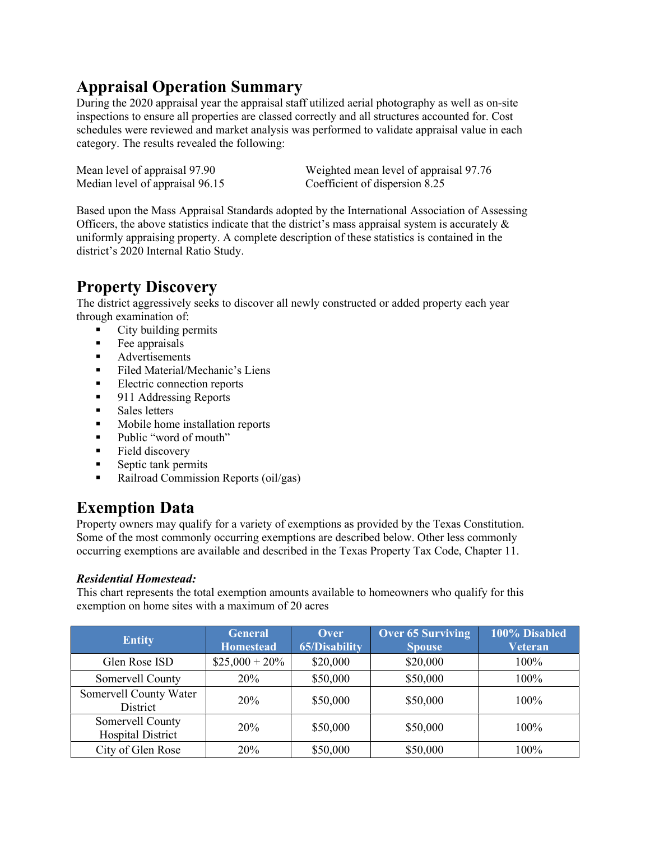# Appraisal Operation Summary

During the 2020 appraisal year the appraisal staff utilized aerial photography as well as on-site inspections to ensure all properties are classed correctly and all structures accounted for. Cost schedules were reviewed and market analysis was performed to validate appraisal value in each category. The results revealed the following:

Median level of appraisal 96.15 Coefficient of dispersion 8.25

Mean level of appraisal 97.90 Weighted mean level of appraisal 97.76

Based upon the Mass Appraisal Standards adopted by the International Association of Assessing Officers, the above statistics indicate that the district's mass appraisal system is accurately  $\&$ uniformly appraising property. A complete description of these statistics is contained in the district's 2020 Internal Ratio Study.

# Property Discovery

The district aggressively seeks to discover all newly constructed or added property each year through examination of:

- City building permits
- $\blacksquare$  Fee appraisals
- **Advertisements**
- Filed Material/Mechanic's Liens
- Electric connection reports
- 911 Addressing Reports
- **Sales letters**
- Mobile home installation reports
- Public "word of mouth"
- **Field discovery**
- $\blacksquare$  Septic tank permits
- Railroad Commission Reports (oil/gas)

# Exemption Data

Property owners may qualify for a variety of exemptions as provided by the Texas Constitution. Some of the most commonly occurring exemptions are described below. Other less commonly occurring exemptions are available and described in the Texas Property Tax Code, Chapter 11.

#### Residential Homestead:

This chart represents the total exemption amounts available to homeowners who qualify for this exemption on home sites with a maximum of 20 acres

| <b>Entity</b>                                | <b>General</b><br><b>Homestead</b> | Over<br><b>65/Disability</b> | <b>Over 65 Surviving</b><br><b>Spouse</b> | 100% Disabled<br><b>Veteran</b> |
|----------------------------------------------|------------------------------------|------------------------------|-------------------------------------------|---------------------------------|
| Glen Rose ISD                                | $$25,000 + 20\%$                   | \$20,000                     | \$20,000                                  | 100%                            |
| Somervell County                             | 20%                                | \$50,000                     | \$50,000                                  | 100%                            |
| Somervell County Water<br>District           | <b>20%</b>                         | \$50,000                     | \$50,000                                  | $100\%$                         |
| Somervell County<br><b>Hospital District</b> | 20%                                | \$50,000                     | \$50,000                                  | 100%                            |
| City of Glen Rose                            | 20%                                | \$50,000                     | \$50,000                                  | 100%                            |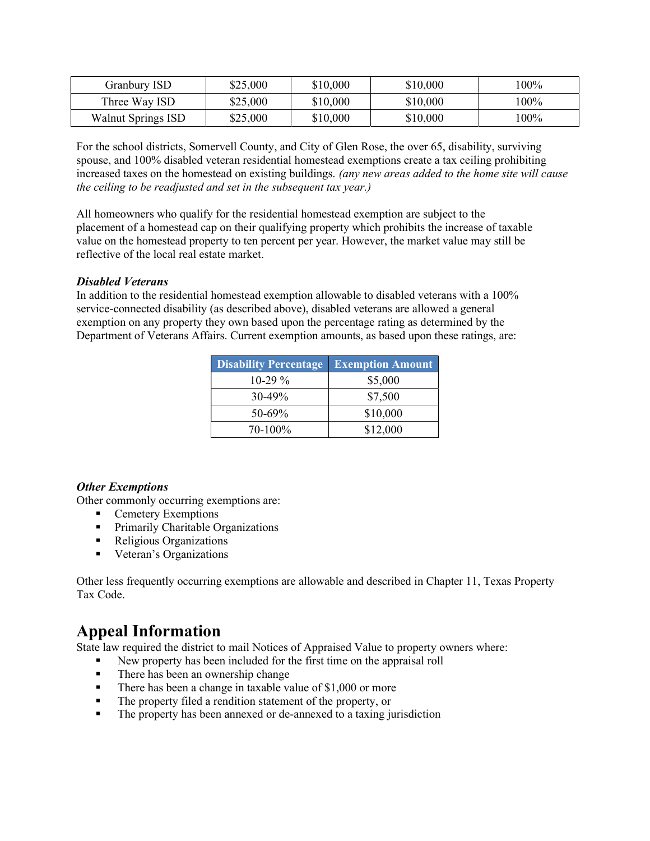| Granbury ISD       | \$25,000 | \$10,000 | \$10,000 | l00% |
|--------------------|----------|----------|----------|------|
| Three Way ISD      | \$25,000 | \$10,000 | \$10,000 | l00% |
| Walnut Springs ISD | \$25,000 | \$10,000 | \$10,000 | 100% |

For the school districts, Somervell County, and City of Glen Rose, the over 65, disability, surviving spouse, and 100% disabled veteran residential homestead exemptions create a tax ceiling prohibiting increased taxes on the homestead on existing buildings. (any new areas added to the home site will cause the ceiling to be readjusted and set in the subsequent tax year.)

All homeowners who qualify for the residential homestead exemption are subject to the placement of a homestead cap on their qualifying property which prohibits the increase of taxable value on the homestead property to ten percent per year. However, the market value may still be reflective of the local real estate market.

#### Disabled Veterans

In addition to the residential homestead exemption allowable to disabled veterans with a 100% service-connected disability (as described above), disabled veterans are allowed a general exemption on any property they own based upon the percentage rating as determined by the Department of Veterans Affairs. Current exemption amounts, as based upon these ratings, are:

| <b>Disability Percentage</b> | <b>Exemption Amount</b> |
|------------------------------|-------------------------|
| $10-29\%$                    | \$5,000                 |
| $30-49%$                     | \$7,500                 |
| $50 - 69\%$                  | \$10,000                |
| 70-100%                      | \$12,000                |

#### Other Exemptions

Other commonly occurring exemptions are:

- **Cemetery Exemptions**
- **Primarily Charitable Organizations**
- Religious Organizations
- **Veteran's Organizations**

Other less frequently occurring exemptions are allowable and described in Chapter 11, Texas Property Tax Code.

#### Appeal Information

State law required the district to mail Notices of Appraised Value to property owners where:

- New property has been included for the first time on the appraisal roll
- There has been an ownership change
- There has been a change in taxable value of \$1,000 or more
- The property filed a rendition statement of the property, or
- The property has been annexed or de-annexed to a taxing jurisdiction